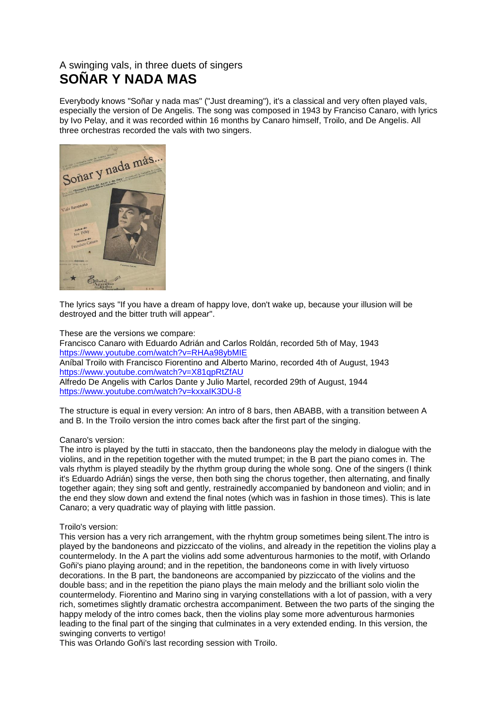## A swinging vals, in three duets of singers **SOÑAR Y NADA MAS**

Everybody knows "Soñar y nada mas" ("Just dreaming"), it's a classical and very often played vals, especially the version of De Angelis. The song was composed in 1943 by Franciso Canaro, with lyrics by Ivo Pelay, and it was recorded within 16 months by Canaro himself, Troilo, and De Angelis. All three orchestras recorded the vals with two singers.



The lyrics says "If you have a dream of happy love, don't wake up, because your illusion will be destroyed and the bitter truth will appear".

These are the versions we compare: Francisco Canaro with Eduardo Adrián and Carlos Roldán, recorded 5th of May, 1943 <https://www.youtube.com/watch?v=RHAa98ybMIE> Aníbal Troilo with Francisco Fiorentino and Alberto Marino, recorded 4th of August, 1943 <https://www.youtube.com/watch?v=X81qpRtZfAU> Alfredo De Angelis with Carlos Dante y Julio Martel, recorded 29th of August, 1944 <https://www.youtube.com/watch?v=kxxaIK3DU-8>

The structure is equal in every version: An intro of 8 bars, then ABABB, with a transition between A and B. In the Troilo version the intro comes back after the first part of the singing.

## Canaro's version:

The intro is played by the tutti in staccato, then the bandoneons play the melody in dialogue with the violins, and in the repetition together with the muted trumpet; in the B part the piano comes in. The vals rhythm is played steadily by the rhythm group during the whole song. One of the singers (I think it's Eduardo Adrián) sings the verse, then both sing the chorus together, then alternating, and finally together again; they sing soft and gently, restrainedly accompanied by bandoneon and violin; and in the end they slow down and extend the final notes (which was in fashion in those times). This is late Canaro; a very quadratic way of playing with little passion.

## Troilo's version:

This version has a very rich arrangement, with the rhyhtm group sometimes being silent.The intro is played by the bandoneons and pizziccato of the violins, and already in the repetition the violins play a countermelody. In the A part the violins add some adventurous harmonies to the motif, with Orlando Goñi's piano playing around; and in the repetition, the bandoneons come in with lively virtuoso decorations. In the B part, the bandoneons are accompanied by pizziccato of the violins and the double bass; and in the repetition the piano plays the main melody and the brilliant solo violin the countermelody. Fiorentino and Marino sing in varying constellations with a lot of passion, with a very rich, sometimes slightly dramatic orchestra accompaniment. Between the two parts of the singing the happy melody of the intro comes back, then the violins play some more adventurous harmonies leading to the final part of the singing that culminates in a very extended ending. In this version, the swinging converts to vertigo!

This was Orlando Goñi's last recording session with Troilo.